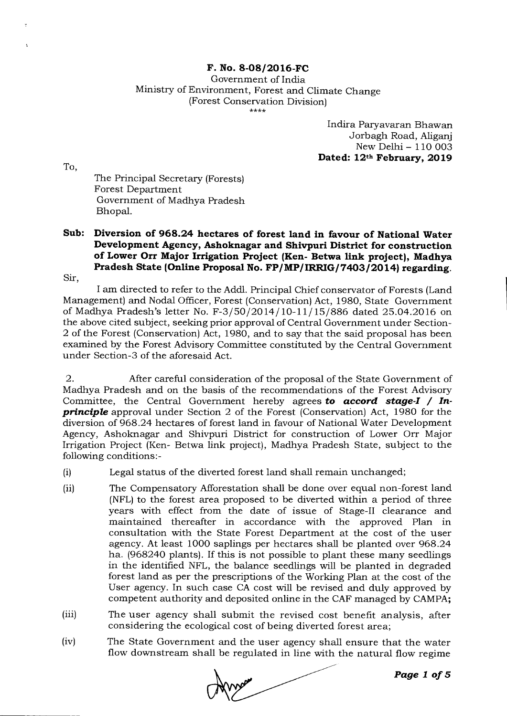## **F. No. 8-08/2016-FC**

Government of India Ministry of Environment, Forest and Climate Change (Forest Conservation Division)

> Indira Paryavaran Bhawan Jorbagh Road, Aliganj New Delhi - 110 003 **Dated: 12th February, 2019**

To,

The Principal Secretary (Forests) Forest Department Government of Madhya Pradesh Bhopal.

## **Sub: Diversion of 968.24 hectares of forest land in favour of National Water Development Agency, Ashoknagar and Shivpuri District for construction of Lower Orr Major Irrigation Project (Ken- Betwa link project), Madhya Pradesh State (Online Proposal No. FP/MP/IRRIG/7403/2014) regarding.**

Sir,

I am directed to refer to the Addl. Principal Chief conservator of Forests (Land Management) and Nodal Officer, Forest (Conservation) Act, 1980, State Government of Madhya Pradesh's letter No. F-3/50/2014/10-11/15/886 dated 25.04.2016 on the above cited subject, seeking prior approval of Central Government under Section-2 of the Forest (Conservation) Act, 1980, and to say that the said proposal has been examined by the Forest Advisory Committee constituted by the Central Government under Section-3 of the aforesaid Act.

2. After careful consideration of the proposal of the State Government of Madhya Pradesh and on the basis of the recommendations of the Forest Advisory Committee, the Central Government hereby agrees *to accord stage-I / Inprinciple* approval under Section 2 of the Forest (Conservation) Act, 1980 for the diversion of 968.24 hectares of forest land in favour of National Water Development Agency, Ashoknagar and Shivpuri District for construction of Lower Orr Major Irrigation Project (Ken- Betwa link project), Madhya Pradesh State, subject to the following conditions:-

- (i) Legal status of the diverted forest land shall remain unchanged;
- (ii) The Compensatory Afforestation shall be done over equal non-forest land (NFL) to the forest area proposed to be diverted within a period of three years with effect from the date of issue of Stage-II clearance and maintained thereafter in accordance with the approved Plan in consultation with the State Forest Department at the cost of the user agency. At least 1000 saplings per hectares shall be planted over 968.24 ha. (968240 plants). If this is not possible to plant these many seedlings in the identified NFL, the balance seedlings will be planted in degraded forest land as per the prescriptions of the Working Plan at the cost of the User agency. In such case CA cost will be revised and duly approved by competent authority and deposited online in the CAF managed by CAMPA;
- (iii) The user agency shall submit the revised cost benefit analysis, after considering the ecological cost of being diverted forest area;
- (iv) The State Government and the user agency shall ensure that the water flow downstream shall be regulated in line with the natural flow regime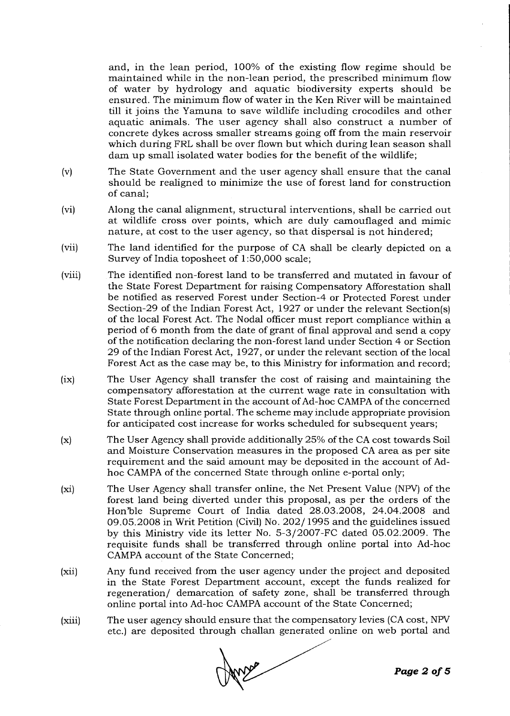and, in the lean period, 100% of the existing flow regime should be maintained while in the non-lean period, the prescribed minimum flow of water by hydrology and aquatic biodiversity experts should be ensured. The minimum flow of water in the Ken River will be maintained till it joins the Yamuna to save wildlife including crocodiles and other aquatic animals. The user agency shall also construct a number of concrete dykes across smaller streams going off from the main reservoir which during FRL shall be over flown but which during lean season shall dam up small isolated water bodies for the benefit of the wildlife;

- (v) The State Government and the user agency shall ensure that the canal should be realigned to minimize the use of forest land for construction of canal;
- (vi) Along the canal alignment, structural interventions, shall be carried out at wildlife cross over points, which are duly camouflaged and mimic nature, at cost to the user agency, so that dispersal is not hindered;
- (vii) The land identified for the purpose of CA shall be clearly depicted on a Survey of India toposheet of 1:50,000 scale;
- (viii) The identified non-forest land to be transferred and mutated in favour of the State Forest Department for raising Compensatory Afforestation shall be notified as reserved Forest under Section-4 or Protected Forest under Section-29 of the Indian Forest Act, 1927 or under the relevant Section(s) of the local Forest Act. The Nodal officer must report compliance within a period of 6 month from the date of grant of final approval and send a copy of the notification declaring the non-forest land under Section 4 or Section 29 of the Indian Forest Act, 1927, or under the relevant section of the local Forest Act as the case may be, to this Ministry for information and record;
- (ix) The User Agency shall transfer the cost of raising and maintaining the compensatory afforestation at the current wage rate in consultation with State Forest Department in the account of Ad-hoc CAMPA of the concerned State through online portal. The scheme may include appropriate provision for anticipated cost increase for works scheduled for subsequent years;
- (x) The User Agency shall provide additionally 25% of the CA cost towards Soil and Moisture Conservation measures in the proposed CA area as per site requirement and the said amount may be deposited in the account of Adhoc CAMPA of the concerned State through online e-portal only;
- (xi) The User Agency shall transfer online, the Net Present Value (NPV) of the forest land being diverted under this proposal, as per the orders of the Hon'ble Supreme Court of India dated 28.03.2008, 24.04.2008 and 09.05.2008 in Writ Petition (Civil) No. 202/1995 and the guidelines issued by this Ministry vide its letter No. 5-3/2007-FC dated 05.02.2009. The requisite funds shall be transferred through online portal into Ad-hoc CAMPA account of the State Concerned;
- (xii) Any fund received from the user agency under the project and deposited in the State Forest Department account, except the funds realized for regeneration/ demarcation of safety zone, shall be transferred through online portal into Ad-hoc CAMPA account of the State Concerned;
- (xiii) The user agency should ensure that the compensatory levies (CA cost, NPV etc.) are deposited through challan generated online on web portal and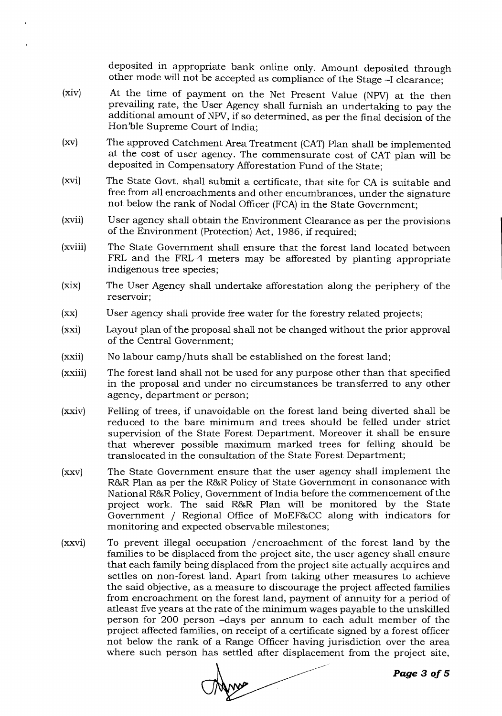deposited in appropriate bank online only. Amount deposited through other mode will not be accepted as compliance of the Stage -I clearance;

- (xiv) At the time of payment on the Net Present Value (NPV) at the then prevailing rate, the User Agency shall furnish an undertaking to pay the additional amount of NPV, if so determined, as per the final decision of the Hon'ble Supreme Court of India;
- (xv) The approved Catchment Area Treatment (CAT) Plan shall be implemented at the cost of user agency. The commensurate cost of CAT plan will be deposited in Compensatory Afforestation Fund of the State;
- (xvi) The State Govt. shall submit a certificate, that site for CA is suitable and free from all encroachments and other encumbrances, under the signature not below the rank of Nodal Officer (FCA) in the State Government;
- (xvii) User agency shall obtain the Environment Clearance as per the provisions of the Environment (Protection) Act, 1986, if required;
- (xviii) The State Government shall ensure that the forest land located between FRL and the FRL-4 meters may be afforested by planting appropriate indigenous tree species;
- (xix) The User Agency shall undertake afforestation along the periphery of the reservoir;
- (xx) User agency shall provide free water for the forestry related projects;
- (xxi) Layout plan of the proposal shall not be changed without the prior approval of the Central Government;
- (xxii) No labour camp/huts shall be established on the forest land;
- (xxiii) The forest land shall not be used for any purpose other than that specified in the proposal and under no circumstances be transferred to any other agency, department or person;
- (xxiv) Felling of trees, if unavoidable on the forest land being diverted shall be reduced to the bare minimum and trees should be felled under strict supervision of the State Forest Department. Moreover it shall be ensure that wherever possible maximum marked trees for felling should be translocated in the consultation of the State Forest Department;
- (xxv) The State Government ensure that the user agency shall implement the R&R Plan as per the R&R Policy of State Government in consonance with National R&R Policy, Government of India before the commencement of the project work. The said R8GR Plan will be monitored by the State Government / Regional Office of MoEF86CC along with indicators for monitoring and expected observable milestones;
- (xxvi) To prevent illegal occupation /encroachment of the forest land by the families to be displaced from the project site, the user agency shall ensure that each family being displaced from the project site actually acquires and settles on non-forest land. Apart from taking other measures to achieve the said objective, as a measure to discourage the project affected families from encroachment on the forest land, payment of annuity for a period of atleast five years at the rate of the minimum wages payable to the unskilled person for 200 person -days per annum to each adult member of the project affected families, on receipt of a certificate signed by a forest officer not below the rank of a Range Officer having jurisdiction over the area where such person has settled after displacement from the project site,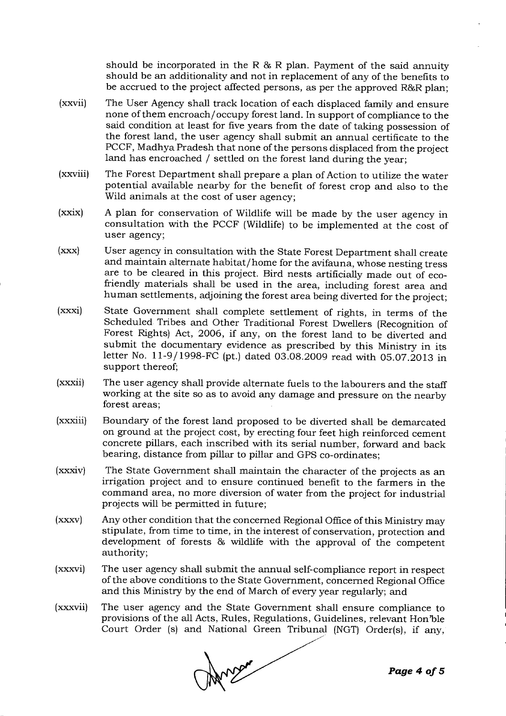should be incorporated in the R  $\&$  R plan. Payment of the said annuity should be an additionality and not in replacement of any of the benefits to be accrued to the project affected persons, as per the approved R&R plan;

- (xxvii) The User Agency shall track location of each displaced family and ensure none of them encroach/occupy forest land. In support of compliance to the said condition at least for five years from the date of taking possession of the forest land, the user agency shall submit an annual certificate to the PCCF, Madhya Pradesh that none of the persons displaced from the project land has encroached / settled on the forest land during the year;
- (xxviii) The Forest Department shall prepare a plan of Action to utilize the water potential available nearby for the benefit of forest crop and also to the Wild animals at the cost of user agency;
- (xxix) A plan for conservation of Wildlife will be made by the user agency in consultation with the PCCF (Wildlife) to be implemented at the cost of user agency;
- (xxx) User agency in consultation with the State Forest Department shall create and maintain alternate habitat/home for the avifauna, whose nesting tress are to be cleared in this project. Bird nests artificially made out of ecofriendly materials shall be used in the area, including forest area and human settlements, adjoining the forest area being diverted for the project;
- (xxxi) State Government shall complete settlement of rights, in terms of the Scheduled Tribes and Other Traditional Forest Dwellers (Recognition of Forest Rights) Act, 2006, if any, on the forest land to be diverted and submit the documentary evidence as prescribed by this Ministry in its letter No. 11-9/ 1998-FC (pt.) dated 03.08.2009 read with 05.07.2013 in support thereof;
- (xxxii) The user agency shall provide alternate fuels to the labourers and the staff working at the site so as to avoid any damage and pressure on the nearby forest areas;
- (xxxiii) Boundary of the forest land proposed to be diverted shall be demarcated on ground at the project cost, by erecting four feet high reinforced cement concrete pillars, each inscribed with its serial number, forward and back bearing, distance from pillar to pillar and GPS co-ordinates;
- (xxxiv) The State Government shall maintain the character of the projects as an irrigation project and to ensure continued benefit to the farmers in the command area, no more diversion of water from the project for industrial projects will be permitted in future;
- (xxxv) Any other condition that the concerned Regional Office of this Ministry may stipulate, from time to time, in the interest of conservation, protection and development of forests 86 wildlife with the approval of the competent authority;
- (xxxvi) The user agency shall submit the annual self-compliance report in respect of the above conditions to the State Government, concerned Regional Office and this Ministry by the end of March of every year regularly; and
- (xxxvii) The user agency and the State Government shall ensure compliance to provisions of the all Acts, Rules, Regulations, Guidelines, relevant Hon'ble Court Order (s) and National Green Tribunal (NGT) Order(s), if any,

Anger